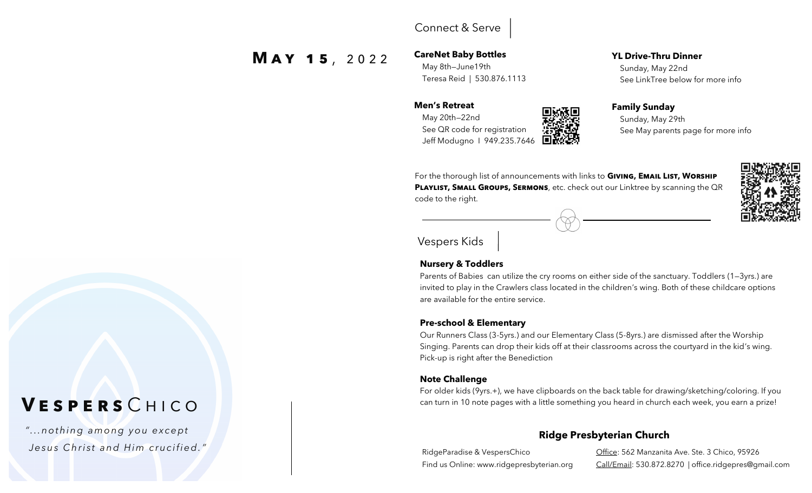### Connect & Serve

 **M a y 1 5** , 2 0 2 2

**CareNet Baby Bottles** May 8th—June19th Teresa Reid | 530.876.1113

#### **Men's Retreat**

 May 20th—22nd See QR code for registration Jeff Modugno I 949.235.7646



 Sunday, May 22nd See LinkTree below for more info



 Sunday, May 29th See May parents page for more info

For the thorough list of announcements with links to **Giving, Email List, Worship PLAYLIST, SMALL GROUPS, SERMONS**, etc. check out our Linktree by scanning the QR code to the right.



Vespers Kids

#### **Nursery & Toddlers**

Parents of Babies can utilize the cry rooms on either side of the sanctuary. Toddlers (1—3yrs.) are invited to play in the Crawlers class located in the children's wing. Both of these childcare options are available for the entire service.

#### **Pre-school & Elementary**

Our Runners Class (3-5yrs.) and our Elementary Class (5-8yrs.) are dismissed after the Worship Singing. Parents can drop their kids off at their classrooms across the courtyard in the kid's wing. Pick-up is right after the Benediction

#### **Note Challenge**

For older kids (9yrs.+), we have clipboards on the back table for drawing/sketching/coloring. If you can turn in 10 note pages with a little something you heard in church each week, you earn a prize!

### **Ridge Presbyterian Church**

RidgeParadise & VespersChico **Office: 562 Manzanita Ave. Ste. 3 Chico, 95926** Find us Online: www.ridgepresbyterian.org Call/Email: 530.872.8270 | office.ridgepres@gmail.com

# **V e s p e r s** C h i c o

*" . . .n o th i n g a m o ng y o u ex c e pt J e s u s C h r i s t a n d H i m c r u c i fi e d ."*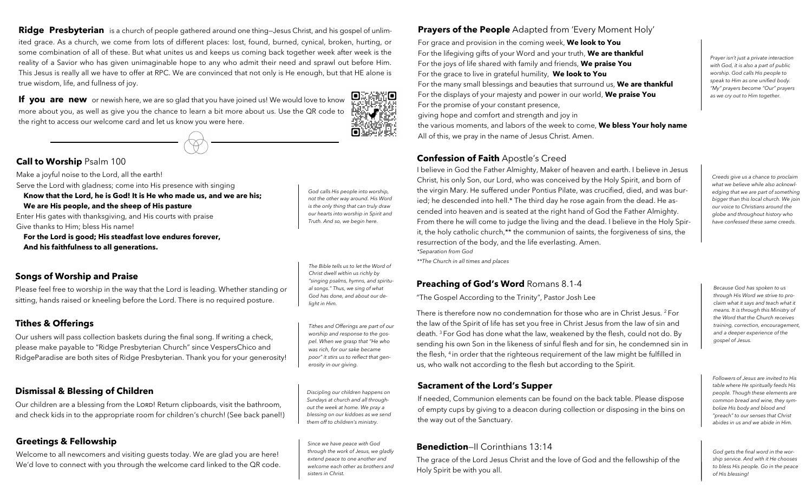**Ridge Presbyterian** is a church of people gathered around one thing—Jesus Christ, and his gospel of unlimited grace. As a church, we come from lots of different places: lost, found, burned, cynical, broken, hurting, or some combination of all of these. But what unites us and keeps us coming back together week after week is the reality of a Savior who has given unimaginable hope to any who admit their need and sprawl out before Him. This Jesus is really all we have to offer at RPC. We are convinced that not only is He enough, but that HE alone is true wisdom, life, and fullness of joy.

**If you are new** or newish here, we are so glad that you have joined us! We would love to know more about you, as well as give you the chance to learn a bit more about us. Use the QR code to the right to access our welcome card and let us know you were here. <u>Posta</u>

#### **Call to Worship** Psalm 100

Make a joyful noise to the Lord, all the earth! Serve the Lord with gladness; come into His presence with singing  **Know that the Lord, he is God! It is He who made us, and we are his;** 

 **We are His people, and the sheep of His pasture** Enter His gates with thanksgiving, and His courts with praise Give thanks to Him; bless His name!

 **For the Lord is good; His steadfast love endures forever,** **And his faithfulness to all generations.**

#### **Songs of Worship and Praise**

Please feel free to worship in the way that the Lord is leading. Whether standing or sitting, hands raised or kneeling before the Lord. There is no required posture.

#### **Tithes & Offerings**

Our ushers will pass collection baskets during the final song. If writing a check, please make payable to "Ridge Presbyterian Church" since VespersChico and RidgeParadise are both sites of Ridge Presbyterian. Thank you for your generosity!

#### **Dismissal & Blessing of Children**

Our children are a blessing from the LORD! Return clipboards, visit the bathroom, and check kids in to the appropriate room for children's church! (See back panel!)

#### **Greetings & Fellowship**

Welcome to all newcomers and visiting guests today. We are glad you are here! We'd love to connect with you through the welcome card linked to the QR code.

*God calls His people into worship, not the other way around. His Word is the only thing that can truly draw our hearts into worship in Spirit and Truth. And so, we begin here.* 

ίo

*The Bible tells us to let the Word of Christ dwell within us richly by "singing psalms, hymns, and spiritual songs." Thus, we sing of what God has done, and about our delight in Him.* 

*Tithes and Offerings are part of our worship and response to the gospel. When we grasp that "He who was rich, for our sake became poor" it stirs us to reflect that generosity in our giving.*

*Discipling our children happens on Sundays at church and all throughout the week at home. We pray a blessing on our kiddoes as we send them off to children's ministry.* 

*Since we have peace with God through the work of Jesus, we gladly extend peace to one another and welcome each other as brothers and sisters in Christ.* 

#### **Prayers of the People** Adapted from 'Every Moment Holy'

For grace and provision in the coming week, **We look to You** For the lifegiving gifts of your Word and your truth, **We are thankful** For the joys of life shared with family and friends, **We praise You** For the grace to live in grateful humility, **We look to You** For the many small blessings and beauties that surround us, **We are thankful** For the displays of your majesty and power in our world, **We praise You** For the promise of your constant presence, giving hope and comfort and strength and joy in the various moments, and labors of the week to come, **We bless Your holy name**  All of this, we pray in the name of Jesus Christ. Amen.

#### **Confession of Faith** Apostle's Creed

I believe in God the Father Almighty, Maker of heaven and earth. I believe in Jesus Christ, his only Son, our Lord, who was conceived by the Holy Spirit, and born of the virgin Mary. He suffered under Pontius Pilate, was crucified, died, and was buried; he descended into hell.\* The third day he rose again from the dead. He ascended into heaven and is seated at the right hand of God the Father Almighty. From there he will come to judge the living and the dead. I believe in the Holy Spirit, the holy catholic church,\*\* the communion of saints, the forgiveness of sins, the resurrection of the body, and the life everlasting. Amen. *\*Separation from God*

*\*\*The Church in all times and places*

#### **Preaching of God's Word** Romans 8.1-4

"The Gospel According to the Trinity", Pastor Josh Lee

There is therefore now no condemnation for those who are in Christ Jesus. <sup>2</sup> For the law of the Spirit of life has set you free in Christ Jesus from the law of sin and death. <sup>3</sup> For God has done what the law, weakened by the flesh, could not do. By sending his own Son in the likeness of sinful flesh and for sin, he condemned sin in the flesh, <sup>4</sup> in order that the righteous requirement of the law might be fulfilled in us, who walk not according to the flesh but according to the Spirit.

#### **Sacrament of the Lord's Supper**

If needed, Communion elements can be found on the back table. Please dispose of empty cups by giving to a deacon during collection or disposing in the bins on the way out of the Sanctuary.

#### **Benediction**—II Corinthians 13:14

The grace of the Lord Jesus Christ and the love of God and the fellowship of the Holy Spirit be with you all.

*Prayer isn't just a private interaction with God, it is also a part of public worship. God calls His people to speak to Him as one unified body. "My" prayers become "Our" prayers as we cry out to Him together.* 

*Creeds give us a chance to proclaim what we believe while also acknowledging that we are part of something bigger than this local church. We join our voice to Christians around the globe and throughout history who have confessed these same creeds.*

*Because God has spoken to us through His Word we strive to proclaim what it says and teach what it means. It is through this Ministry of the Word that the Church receives training, correction, encouragement, and a deeper experience of the gospel of Jesus.*

*Followers of Jesus are invited to His table where He spiritually feeds His people. Though these elements are common bread and wine, they symbolize His body and blood and "preach" to our senses that Christ abides in us and we abide in Him.* 

*God gets the final word in the worship service. And with it He chooses to bless His people. Go in the peace of His blessing!*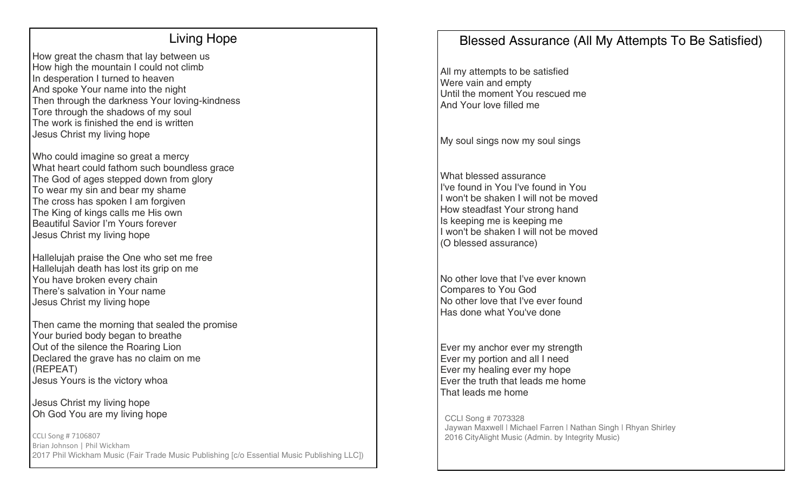### Living Hope

How great the chasm that lay between us How high the mountain I could not climb In desperation I turned to heaven And spoke Your name into the night Then through the darkness Your loving-kindness Tore through the shadows of my soul The work is finished the end is written Jesus Christ my living hope

Who could imagine so great a mercy What heart could fathom such boundless grace The God of ages stepped down from glory To wear my sin and bear my shame The cross has spoken I am forgiven The King of kings calls me His own Beautiful Savior I'm Yours forever Jesus Christ my living hope

Hallelujah praise the One who set me free Hallelujah death has lost its grip on me You have broken every chain There's salvation in Your name Jesus Christ my living hope

Then came the morning that sealed the promise Your buried body began to breathe Out of the silence the Roaring Lion Declared the grave has no claim on me (REPEAT) Jesus Yours is the victory whoa

Jesus Christ my living hope Oh God You are my living hope

CCLI Song # 7106807 Brian Johnson | Phil Wickham 2017 Phil Wickham Music (Fair Trade Music Publishing [c/o Essential Music Publishing LLC])

# Blessed Assurance (All My Attempts To Be Satisfied)

All my attempts to be satisfied Were vain and empty Until the moment You rescued me And Your love filled me

My soul sings now my soul sings

What blessed assurance I've found in You I've found in You I won't be shaken I will not be moved How steadfast Your strong hand Is keeping me is keeping me I won't be shaken I will not be moved (O blessed assurance)

No other love that I've ever known Compares to You God No other love that I've ever found Has done what You've done

Ever my anchor ever my strength Ever my portion and all I need Ever my healing ever my hope Ever the truth that leads me home That leads me home

CCLI Song # 7073328 Jaywan Maxwell | Michael Farren | Nathan Singh | Rhyan Shirley 2016 CityAlight Music (Admin. by Integrity Music)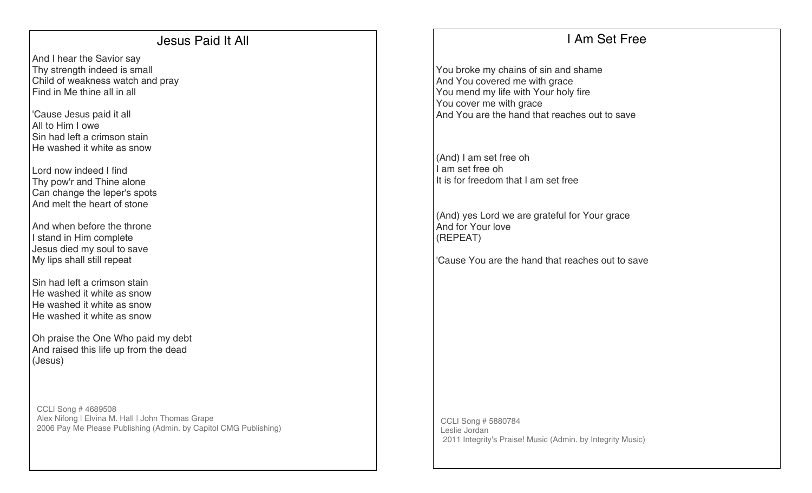### Jesus Paid It All

And I hear the Savior say Thy strength indeed is small Child of weakness watch and pray Find in Me thine all in all

'Cause Jesus paid it all All to Him I owe Sin had left a crimson stain He washed it white as snow

Lord now indeed I find Thy pow'r and Thine alone Can change the leper's spots And melt the heart of stone

And when before the throne I stand in Him complete Jesus died my soul to save My lips shall still repeat

Sin had left a crimson stain He washed it white as snow He washed it white as snow He washed it white as snow

Oh praise the One Who paid my debt And raised this life up from the dead (Jesus)

CCLI Song # 4689508 Alex Nifong | Elvina M. Hall | John Thomas Grape 2006 Pay Me Please Publishing (Admin. by Capitol CMG Publishing)

# I Am Set Free

You broke my chains of sin and shame And You covered me with grace You mend my life with Your holy fire You cover me with grace And You are the hand that reaches out to save

(And) I am set free oh I am set free oh It is for freedom that I am set free

(And) yes Lord we are grateful for Your grace And for Your love (REPEAT)

'Cause You are the hand that reaches out to save

CCLI Song # 5880784 Leslie Jordan 2011 Integrity's Praise! Music (Admin. by Integrity Music)